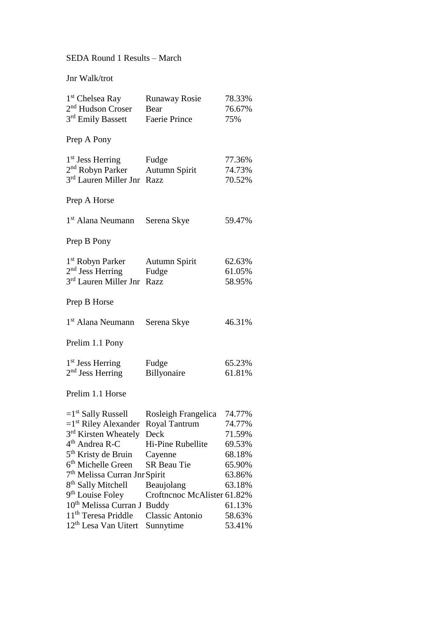## SEDA Round 1 Results – March

Jnr Walk/trot

| 1 <sup>st</sup> Chelsea Ray                      | Runaway Rosie                            | 78.33% |
|--------------------------------------------------|------------------------------------------|--------|
| 2 <sup>nd</sup> Hudson Croser Bear               |                                          | 76.67% |
| 3rd Emily Bassett                                | Faerie Prince                            | 75%    |
| Prep A Pony                                      |                                          |        |
| 1 <sup>st</sup> Jess Herring Fudge               |                                          | 77.36% |
| 2 <sup>nd</sup> Robyn Parker Autumn Spirit       |                                          | 74.73% |
| 3rd Lauren Miller Jnr Razz                       |                                          | 70.52% |
| Prep A Horse                                     |                                          |        |
| 1 <sup>st</sup> Alana Neumann Serena Skye        |                                          | 59.47% |
| Prep B Pony                                      |                                          |        |
| 1 <sup>st</sup> Robyn Parker Autumn Spirit       |                                          | 62.63% |
| 2 <sup>nd</sup> Jess Herring Fudge               |                                          | 61.05% |
| 3rd Lauren Miller Jnr Razz                       |                                          | 58.95% |
| Prep B Horse                                     |                                          |        |
| 1 <sup>st</sup> Alana Neumann                    | Serena Skye                              | 46.31% |
| Prelim 1.1 Pony                                  |                                          |        |
| 1 <sup>st</sup> Jess Herring                     | Fudge                                    | 65.23% |
| 2 <sup>nd</sup> Jess Herring                     | Billyonaire                              | 61.81% |
| Prelim 1.1 Horse                                 |                                          |        |
|                                                  | $=1st$ Sally Russell Rosleigh Frangelica | 74.77% |
| $=1$ <sup>st</sup> Riley Alexander Royal Tantrum |                                          | 74.77% |
| 3rd Kirsten Wheately Deck                        |                                          | 71.59% |
| 4 <sup>th</sup> Andrea R-C                       | Hi-Pine Rubellite                        | 69.53% |
| 5 <sup>th</sup> Kristy de Bruin                  | Cayenne                                  | 68.18% |
| 6 <sup>th</sup> Michelle Green                   | <b>SR Beau Tie</b>                       | 65.90% |
| 7 <sup>th</sup> Melissa Curran Jnr Spirit        |                                          | 63.86% |
| 8 <sup>th</sup> Sally Mitchell                   | Beaujolang                               | 63.18% |
| 9 <sup>th</sup> Louise Foley                     | Croftncnoc McAlister 61.82%              |        |
| 10 <sup>th</sup> Melissa Curran J Buddy          |                                          | 61.13% |
| 11 <sup>th</sup> Teresa Priddle                  | <b>Classic Antonio</b>                   | 58.63% |
| 12 <sup>th</sup> Lesa Van Uitert                 | Sunnytime                                | 53.41% |